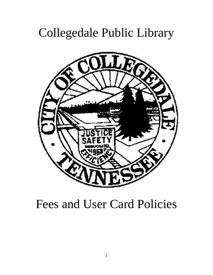# Collegedale Public Library



# Fees and User Card Policies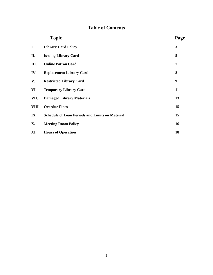# **Table of Contents**

|       | <b>Topic</b>                                           | Page |
|-------|--------------------------------------------------------|------|
| I.    | <b>Library Card Policy</b>                             | 3    |
| П.    | <b>Issuing Library Card</b>                            | 5    |
| Ш.    | <b>Online Patron Card</b>                              | 7    |
| IV.   | <b>Replacement Library Card</b>                        | 8    |
| V.    | <b>Restricted Library Card</b>                         | 9    |
| VI.   | <b>Temporary Library Card</b>                          | 11   |
| VII.  | <b>Damaged Library Materials</b>                       | 13   |
| VIII. | <b>Overdue Fines</b>                                   | 15   |
| IX.   | <b>Schedule of Loan Periods and Limits on Material</b> | 15   |
| Х.    | <b>Meeting Room Policy</b>                             | 16   |
| XI.   | <b>Hours of Operation</b>                              | 18   |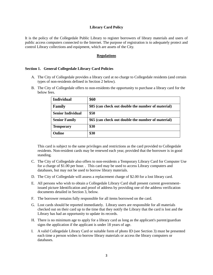#### **Library Card Policy**

It is the policy of the Collegedale Public Library to register borrowers of library materials and users of public access computers connected to the Internet. The purpose of registration is to adequately protect and control Library collections and equipment, which are assets of the City.

#### **Regulations**

#### **Section 1. General Collegedale Library Card Policies**

- A. The City of Collegedale provides a library card at no charge to Collegedale residents (and certain types of non-residents defined in Section 2 below).
- B. The City of Collegedale offers to non-residents the opportunity to purchase a library card for the below fees.

| <b>Individual</b>        | \$60                                               |
|--------------------------|----------------------------------------------------|
| Family                   | \$85 (can check out double the number of material) |
| <b>Senior Individual</b> | \$50                                               |
| <b>Senior Family</b>     | \$65 (can check out double the number of material) |
| <b>Temporary</b>         | \$30                                               |
| Online                   | \$30                                               |

This card is subject to the same privileges and restrictions as the card provided to Collegedale residents. Non-resident cards may be renewed each year, provided that the borrower is in good standing.

- C. The City of Collegedale also offers to non-residents a Temporary Library Card for Computer Use for a charge of \$1.00 per hour. . This card may be used to access Library computers and databases, but may not be used to borrow library materials.
- D. The City of Collegedale will assess a replacement charge of \$2.00 for a lost library card.
- E. All persons who wish to obtain a Collegedale Library Card shall present current governmentissued picture Identification and proof of address by providing one of the address verification documents detailed in Section 3, below.
- F. The borrower remains fully responsible for all items borrowed on the card.
- G. Lost cards should be reported immediately. Library users are responsible for all materials checked out on their card up to the time that they notify the Library that the card is lost and the Library has had an opportunity to update its records.
- H. There is no minimum age to apply for a library card as long as the applicant's parent/guardian signs the application if the applicant is under 18 years of age.
- I. A valid Collegedale Library Card or suitable form of photo ID (see Section 3) must be presented each time a person wishes to borrow library materials or access the library computers or databases.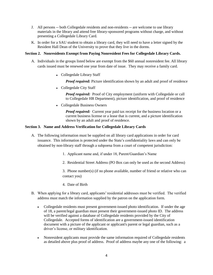- J. All persons -- both Collegedale residents and non-residents -- are welcome to use library materials in the library and attend free library-sponsored programs without charge, and without presenting a Collegedale Library Card.
- K. In order for a SAU student to obtain a library card, they will need to have a letter signed by the Resident Hall Dean of the University to prove that they live in the dorms.

# **Section 2. Nonresidents Exempt from Paying Nonresident Fees for Collegedale Library Cards.**

- A. Individuals in the groups listed below are exempt from the \$60 annual nonresident fee. All library cards issued must be renewed one year from date of issue. They may receive a family card.
	- Collegedale Library Staff

*Proof required:* Picture identification shown by an adult and proof of residence

Collegedale City Staff

*Proof required:* Proof of City employment (uniform with Collegedale or call to Collegedale HR Department), picture identification, and proof of residence

Collegedale Business Owners

*Proof required:* Current year paid tax receipt for the business location or a current business license or a lease that is current, and a picture identification shown by an adult and proof of residence.

# **Section 3. Name and Address Verification for Collegedale Library Cards**

- A. The following information must be supplied on all library card applications in order for card issuance. This information is protected under the State's confidentiality laws and can only be obtained by non-library staff through a subpoena from a court of competent jurisdiction:
	- 1. Applicant name and, if under 18, Parent/Guardian's Name
	- 2. Residential Street Address (PO Box can only be used as the second Address)

3. Phone number(s) (if no phone available, number of friend or relative who can contact you)

- 4. Date of Birth
- B. When applying for a library card, applicants' residential addresses must be verified. The verified address must match the information supplied by the patron on the application form.
	- Collegedale residents must present government-issued photo identification. If under the age of 18, a parent/legal guardian must present their government-issued photo ID. The address will be verified against a database of Collegedale residents provided by the City of Collegedale. Accepted forms of identification are a government-issued identification document with a picture of the applicant or applicant's parent or legal guardian, such as a driver's license, or military identification.
	- Nonresident applicants must provide the same information required of Collegedale residents  $\bullet$ as detailed above plus proof of address. Proof of address maybe any one of the following: a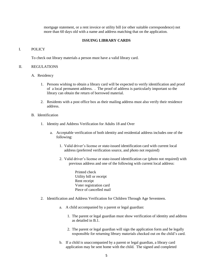mortgage statement, or a rent invoice or utility bill (or other suitable correspondence) not more than 60 days old with a name and address matching that on the application.

#### **ISSUING LIBRARY CARDS**

#### I. POLICY

To check out library materials a person must have a valid library card.

#### II. REGULATIONS

#### A. Residency

- 1. Persons wishing to obtain a library card will be expected to verify identification and proof of a local permanent address. . The proof of address is particularly important so the library can obtain the return of borrowed material.
- 2. Residents with a post office box as their mailing address must also verify their residence address.

#### B. Identification

- 1. Identity and Address Verification for Adults 18 and Over
	- a. Acceptable verification of both identity and residential address includes one of the following:
		- 1. Valid driver's license or state-issued identification card with current local address (preferred verification source, and photo not required)
		- 2. Valid driver's license or state-issued identification car (photo not required) with previous address and one of the following with current local address:
			- Printed check Utility bill or receipt Rent receipt Voter registration card Piece of cancelled mail
- 2. Identification and Address Verification for Children Through Age Seventeen.
	- a. A child accompanied by a parent or legal guardian:
		- 1. The parent or legal guardian must show verification of identity and address as detailed in B.1.
		- 2. The parent or legal guardian will sign the application form and be legally responsible for returning library materials checked out on the child's card.
	- b. If a child is unaccompanied by a parent or legal guardian, a library card application may be sent home with the child. The signed and completed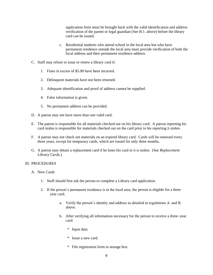application form must be brought back with the valid identification and address verification of the parent or legal guardian (See B.1. above) before the library card can be issued.

- c. Residential students who attend school in the local area but who have permanent residence outside the local area must provide verification of both the local address and their permanent residence address.
- C. Staff may refuse to issue or renew a library card if:
	- 1. Fines in excess of \$5.00 have been incurred.
	- 2. Delinquent materials have not been returned.
	- 3. Adequate identification and proof of address cannot be supplied.
	- 4. False information is given.
	- 5. No permanent address can be provided.
- D. A patron may not have more than one valid card.
- E. The patron is responsible for all materials checked out on his library card. A patron reporting his card stolen is responsible for materials checked out on the card prior to his reporting it stolen.
- F. A patron may not check out materials on an expired library card. Cards will be renewed every three years, except for temporary cards, which are issued for only three months.
- G. A patron may obtain a replacement card if he loses his card or it is stolen. (See *Replacement Library Cards.*)

#### III. PROCEDURES

- A. New Cards
	- 1. Staff should first ask the person to complete a Library card application.
	- 2. If the person's permanent residence is in the local area, the person is eligible for a three year card.
		- a. Verify the person's identity and address as detailed in regulations A. and B. above.
		- b. After verifying all information necessary for the person to receive a three–year card:
			- \* Input data.
			- \* Issue a new card.
			- \* File registration form in storage box.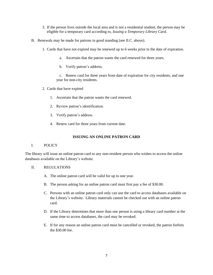- 3. If the person lives outside the local area and is not a residential student, the person may be eligible for a temporary card according to, *Issuing a Temporary Library Card.*
- B. Renewals may be made for patrons in good standing (see II.C. above).
	- 1. Cards that have not expired may be renewed up to 6 weeks prior to the date of expiration.
		- a. Ascertain that the patron wants the card renewed for three years.
		- b. Verify patron's address.

c. Renew card for three years from date of expiration for city residents, and one year for non-city residents.

- 2. Cards that have expired
	- 1. Ascertain that the patron wants the card renewed.
	- 2. Review patron's identification.
	- 3. Verify patron's address.
	- 4. Renew card for three years from current date.

# **ISSUING AN ONLINE PATRON CARD**

# I. POLICY

The library will issue an online patron card to any non-resident person who wishes to access the online databases available on the Library's website.

# II. REGULATIONS

- A. The online patron card will be valid for up to one year.
- B. The person asking for an online patron card must first pay a fee of \$30.00.
- C. Persons with an online patron card only can use the card to access databases available on the Library's website. Library materials cannot be checked out with an online patron card.
- D. If the Library determines that more than one person is using a library card number at the same time to access databases, the card may be revoked.
- E. If for any reason an online patron card must be cancelled or revoked, the patron forfeits the \$30.00 fee.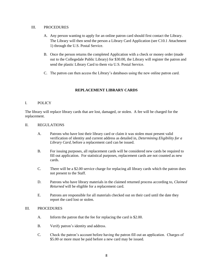# III. PROCEDURES

- A. Any person wanting to apply for an online patron card should first contact the Library. The Library will then send the person a Library Card Application (see C10.1 Attachment 1) through the U.S. Postal Service.
- B. Once the person returns the completed Application with a check or money order (made out to the Collegedale Public Library) for \$30.00, the Library will register the patron and send the plastic Library Card to them via U.S. Postal Service.
- C. The patron can then access the Library's databases using the new online patron card.

# **REPLACEMENT LIBRARY CARDS**

# I. POLICY

The library will replace library cards that are lost, damaged, or stolen. A fee will be charged for the replacement.

#### II. REGULATIONS

- A. Patrons who have lost their library card or claim it was stolen must present valid verification of identity and current address as detailed in, *Determining Eligibility for a Library Card*, before a replacement card can be issued.
- B. For issuing purposes, all replacement cards will be considered new cards be required to fill out application. For statistical purposes, replacement cards are not counted as new cards.
- C. There will be a \$2.00 service charge for replacing all library cards which the patron does not present to the Staff.
- D. Patrons who have library materials in the claimed returned process according to, *Claimed Returned* will be eligible for a replacement card.
- E. Patrons are responsible for all materials checked out on their card until the date they report the card lost or stolen.

#### III. PROCEDURES

- A. Inform the patron that the fee for replacing the card is \$2.00.
- B. Verify patron's identity and address.
- C. Check the patron's account before having the patron fill out an application. Charges of \$5.00 or more must be paid before a new card may be issued.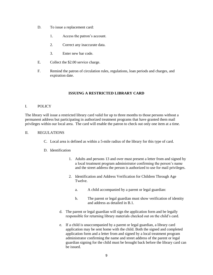- D. To issue a replacement card:
	- 1. Access the patron's account.
	- 2. Correct any inaccurate data.
	- 3. Enter new bar code.
- E. Collect the \$2.00 service charge.
- F. Remind the patron of circulation rules, regulations, loan periods and charges, and expiration date.

#### **ISSUING A RESTRICTED LIBRARY CARD**

#### I. POLICY

The library will issue a restricted library card valid for up to three months to those persons without a permanent address but participating in authorized treatment programs that have granted them mail privileges within our local area. The card will enable the patron to check out only one item at a time.

#### II. REGULATIONS

- C. Local area is defined as within a 5-mile radius of the library for this type of card.
- D. Identification
	- 1. Adults and persons 13 and over must present a letter from and signed by a local treatment program administrator confirming the person's name and the street address the person is authorized to use for mail privileges.
	- 2. Identification and Address Verification for Children Through Age Twelve.
		- a. A child accompanied by a parent or legal guardian:
		- b. The parent or legal guardian must show verification of identity and address as detailed in B.1.
	- d. The parent or legal guardian will sign the application form and be legally responsible for returning library materials checked out on the child's card.
	- e. If a child is unaccompanied by a parent or legal guardian, a library card application may be sent home with the child. Both the signed and completed application form and a letter from and signed by a local treatment program administrator confirming the name and street address of the parent or legal guardian signing for the child must be brought back before the library card can be issued.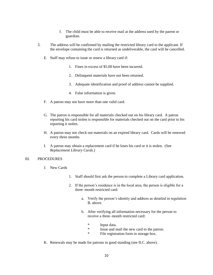- f. The child must be able to receive mail at the address used by the parent or guardian.
- 3. The address will be confirmed by mailing the restricted library card to the applicant. If the envelope containing the card is returned as undeliverable, the card will be cancelled.
	- E. Staff may refuse to issue or renew a library card if:
		- 1. Fines in excess of \$5.00 have been incurred.
		- 2. Delinquent materials have not been returned.
		- 3. Adequate identification and proof of address cannot be supplied.
		- 4. False information is given.
	- F. A patron may not have more than one valid card.
	- G. The patron is responsible for all materials checked out on his library card. A patron reporting his card stolen is responsible for materials checked out on the card prior to his reporting it stolen.
	- H. A patron may not check out materials on an expired library card. Cards will be renewed every three months
	- I. A patron may obtain a replacement card if he loses his card or it is stolen. (See *Replacement Library Cards.*)

#### III. PROCEDURES

- J. New Cards
	- 1. Staff should first ask the person to complete a Library card application.
	- 2. If the person's residence is in the local area, the person is eligible for a three–month restricted card.
		- a. Verify the person's identity and address as detailed in regulation B. above.
		- b. After verifying all information necessary for the person to receive a three–month restricted card:
			- \* Input data.
			- \* Issue and mail the new card to the patron.<br>
			File registration form in storage box
			- File registration form in storage box.
- K. Renewals may be made for patrons in good standing (see II.C. above).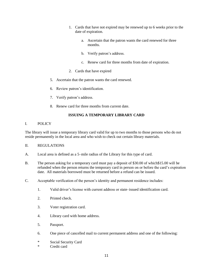- 1. Cards that have not expired may be renewed up to 6 weeks prior to the date of expiration.
	- a. Ascertain that the patron wants the card renewed for three months.
	- b. Verify patron's address.
	- c. Renew card for three months from date of expiration.
- 2. Cards that have expired
- 5. Ascertain that the patron wants the card renewed.
- 6. Review patron's identification.
- 7. Verify patron's address.
- 8. Renew card for three months from current date.

# **ISSUING A TEMPORARY LIBRARY CARD**

I. POLICY

The library will issue a temporary library card valid for up to two months to those persons who do not reside permanently in the local area and who wish to check out certain library materials.

# II. REGULATIONS

- A. Local area is defined as a 5–mile radius of the Library for this type of card.
- B. The person asking for a temporary card must pay a deposit of \$30.00 of which\$15.00 will be refunded when the person returns the temporary card in person on or before the card's expiration date. All materials borrowed must be returned before a refund can be issued.
- C. Acceptable verification of the person's identity and permanent residence includes:
	- 1. Valid driver's license with current address or state–issued identification card.
	- 2. Printed check.
	- 3. Voter registration card.
	- 4. Library card with home address.
	- 5. Passport.
	- 6. One piece of cancelled mail to current permanent address and one of the following:
	- \* Social Security Card
	- \* Credit card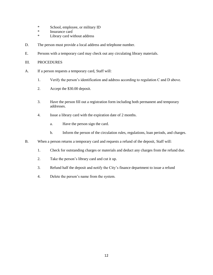- \* School, employee, or military ID<br>\* Insurance card
- Insurance card
- \* Library card without address
- D. The person must provide a local address and telephone number.
- E. Persons with a temporary card may check out any circulating library materials.
- III. PROCEDURES
- A. If a person requests a temporary card, Staff will:
	- 1. Verify the person's identification and address according to regulation C and D above.
	- 2. Accept the \$30.00 deposit.
	- 3. Have the person fill out a registration form including both permanent and temporary addresses.
	- 4. Issue a library card with the expiration date of 2 months.
		- a. Have the person sign the card.
		- b. Inform the person of the circulation rules, regulations, loan periods, and charges.
- B. When a person returns a temporary card and requests a refund of the deposit, Staff will:
	- 1. Check for outstanding charges or materials and deduct any charges from the refund due.
	- 2. Take the person's library card and cut it up.
	- 3. Refund half the deposit and notify the City's finance department to issue a refund
	- 4. Delete the person's name from the system.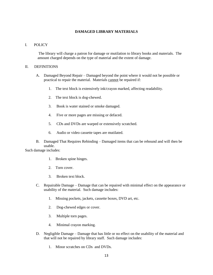# **DAMAGED LIBRARY MATERIALS**

# I. POLICY

The library will charge a patron for damage or mutilation to library books and materials. The amount charged depends on the type of material and the extent of damage.

### II. DEFINITIONS

- A. Damaged Beyond Repair Damaged beyond the point where it would not be possible or practical to repair the material. Materials cannot be repaired if:
	- 1. The text block is extensively ink/crayon marked, affecting readability.
	- 2. The text block is dog-chewed.
	- 3. Book is water stained or smoke damaged.
	- 4. Five or more pages are missing or defaced.
	- 5. CDs and DVDs are warped or extensively scratched.
	- 6. Audio or video cassette tapes are mutilated.
- B. Damaged That Requires Rebinding Damaged items that can be rebound and will then be usable.

Such damage includes:

- 1. Broken spine hinges.
- 2. Torn cover.
- 3. Broken text block.
- C. Repairable Damage Damage that can be repaired with minimal effect on the appearance or usability of the material. Such damage includes:
	- 1. Missing pockets, jackets, cassette boxes, DVD art, etc.
	- 2. Dog-chewed edges or cover.
	- 3. Multiple torn pages.
	- 4. Minimal crayon marking.
- D. Negligible Damage Damage that has little or no effect on the usability of the material and that will not be repaired by library staff. Such damage includes:
	- 1. Minor scratches on CDs and DVDs.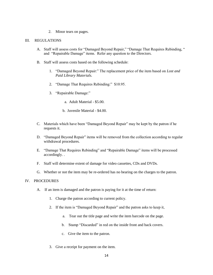2. Minor tears on pages.

#### III. REGULATIONS

- A. Staff will assess costs for "Damaged Beyond Repair," "Damage That Requires Rebinding, " and "Repairable Damage" items. Refer any question to the Directors.
- B. Staff will assess costs based on the following schedule:
	- 1. "Damaged Beyond Repair:" The replacement price of the item based on *Lost and Paid Library Materials.*
	- 2. "Damage That Requires Rebinding:" \$10.95.
	- 3. "Repairable Damage:"
		- a. Adult Material \$5.00.
		- b. Juvenile Material \$4.00.
- C. Materials which have been "Damaged Beyond Repair" may be kept by the patron if he requests it.
- D. "Damaged Beyond Repair" items will be removed from the collection according to regular withdrawal procedures.
- E. "Damage That Requires Rebinding" and "Repairable Damage" items will be processed accordingly. .
- F. Staff will determine extent of damage for video cassettes, CDs and DVDs.
- G. Whether or not the item may be re-ordered has no bearing on the charges to the patron.

#### IV. PROCEDURES

- A. If an item is damaged and the patron is paying for it at the time of return:
	- 1. Charge the patron according to current policy.
	- 2. If the item is "Damaged Beyond Repair" and the patron asks to keep it,
		- a. Tear out the title page and write the item barcode on the page.
		- b. Stamp "Discarded" in red on the inside front and back covers.
		- c. Give the item to the patron.
	- 3. Give a receipt for payment on the item.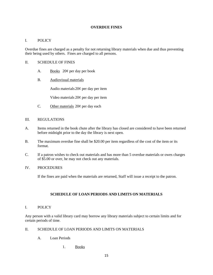#### **OVERDUE FINES**

# I. POLICY

Overdue fines are charged as a penalty for not returning library materials when due and thus preventing their being used by others. Fines are charged to all persons.

# II. SCHEDULE OF FINES

- A. Books 20¢ per day per book
- B. Audiovisual materials

Audio materials 20¢ per day per item

Video materials 20¢ per day per item

C. Other materials  $20¢$  per day each

# III. REGULATIONS

- A. Items returned in the book chute after the library has closed are considered to have been returned before midnight prior to the day the library is next open.
- B. The maximum overdue fine shall be \$20.00 per item regardless of the cost of the item or its format.
- C. If a patron wishes to check out materials and has more than 5 overdue materials or owes charges of \$5.00 or over, he may not check out any materials.

# IV. PROCEDURES

If the fines are paid when the materials are returned, Staff will issue a receipt to the patron.

# **SCHEDULE OF LOAN PERIODS AND LIMITS ON MATERIALS**

I. POLICY

Any person with a valid library card may borrow any library materials subject to certain limits and for certain periods of time.

- II. SCHEDULE OF LOAN PERIODS AND LIMITS ON MATERIALS
	- A. Loan Periods
		- 1. Books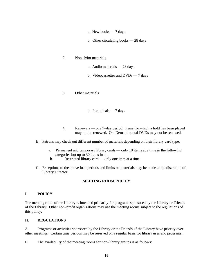- a. New books 7 days
- b. Other circulating books 28 days

# 2. Non–Print materials

- a. Audio materials 28 days
- b. Videocassettes and DVDs 7 days

# 3. Other materials

- b. Periodicals 7 days
- 4. Renewals one 7–day period. Items for which a hold has been placed may not be renewed. On–Demand rental DVDs may not be renewed.
- B. Patrons may check out different number of materials depending on their library card type:
	- a. Permanent and temporary library cards only 10 items at a time in the following categories but up to 30 items in all:
	- b. Restricted library card only one item at a time.
- C. Exceptions to the above loan periods and limits on materials may be made at the discretion of Library Director.

# **MEETING ROOM POLICY**

# **I. POLICY**

The meeting room of the Library is intended primarily for programs sponsored by the Library or Friends of the Library. Other non–profit organizations may use the meeting rooms subject to the regulations of this policy.

# **II. REGULATIONS**

A. Programs or activities sponsored by the Library or the Friends of the Library have priority over other meetings. Certain time periods may be reserved on a regular basis for library uses and programs.

B. The availability of the meeting rooms for non–library groups is as follows: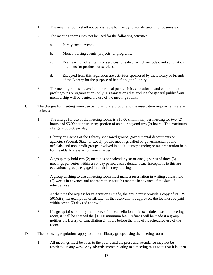- 1. The meeting rooms shall not be available for use by for–profit groups or businesses.
- 2. The meeting rooms may not be used for the following activities:
	- a. Purely social events.
	- b. Money–raising events, projects, or programs.
	- c. Events which offer items or services for sale or which include overt solicitation of clients for products or services.
	- d. Excepted from this regulation are activities sponsored by the Library or Friends of the Library for the purpose of benefiting the Library.
- 3. The meeting rooms are available for local public civic, educational, and cultural non– profit groups or organizations only. Organizations that exclude the general public from membership will be denied the use of the meeting rooms.
- C. The charges for meeting room use by non–library groups and the reservation requirements are as follows:
	- 1. The charge for use of the meeting rooms is \$10.00 (minimum) per meeting for two (2) hours and \$5.00 per hour or any portion of an hour beyond two (2) hours. The maximum charge is \$30.00 per day.
	- 2. Library or Friends of the Library sponsored groups, governmental departments or agencies (Federal, State, or Local), public meetings called by governmental public officials, and non–profit groups involved in adult literacy tutoring or tax preparation help for the elderly are exempt from charges.
	- 3. A group may hold two (2) meetings per calendar year or one (1) series of three (3) meetings per series within a 30–day period each calendar year. Exceptions to this are educational groups engaged in adult literacy tutoring.
	- 4. A group wishing to use a meeting room must make a reservation in writing at least two (2) weeks in advance and not more than four (4) months in advance of the date of intended use.
	- 5. At the time the request for reservation is made, the group must provide a copy of its IRS  $501(c)(3)$  tax exemption certificate. If the reservation is approved, the fee must be paid within seven (7) days of approval.
	- 6. If a group fails to notify the library of the cancellation of its scheduled use of a meeting room, it shall be charged the \$10.00 minimum fee. Refunds will be made if a group notifies the library of cancellation 24 hours before the time of its scheduled use of the room.
- D. The following regulations apply to all non–library groups using the meeting rooms:
	- 1. All meetings must be open to the public and the press and attendance may not be restricted in any way. Any advertisements relating to a meeting must state that it is open